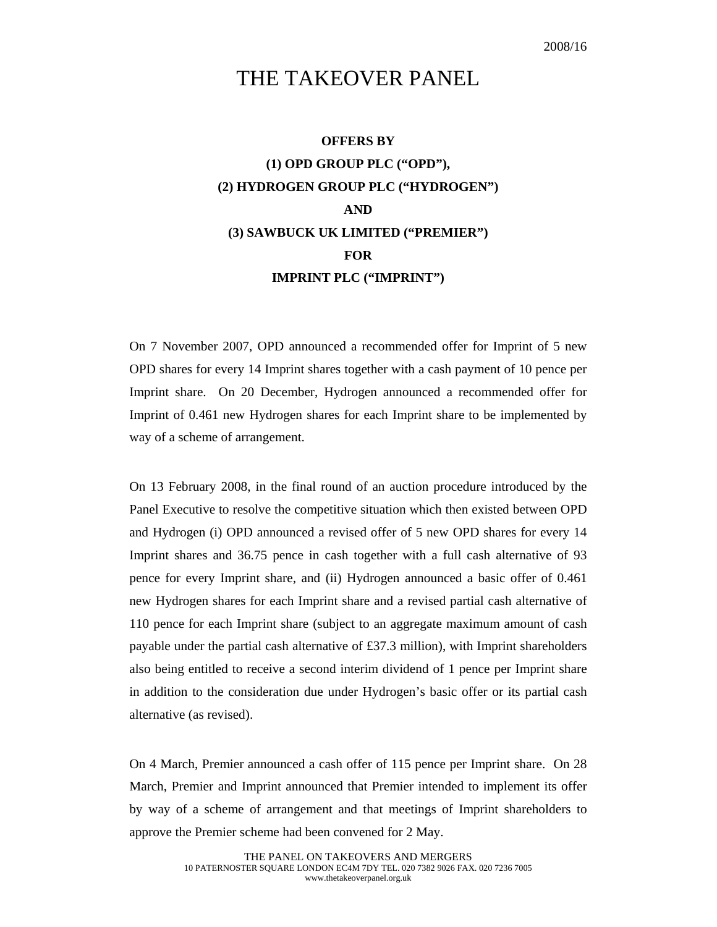## THE TAKEOVER PANEL

## **OFFERS BY (1) OPD GROUP PLC ("OPD"), (2) HYDROGEN GROUP PLC ("HYDROGEN") AND (3) SAWBUCK UK LIMITED ("PREMIER") FOR IMPRINT PLC ("IMPRINT")**

On 7 November 2007, OPD announced a recommended offer for Imprint of 5 new OPD shares for every 14 Imprint shares together with a cash payment of 10 pence per Imprint share. On 20 December, Hydrogen announced a recommended offer for Imprint of 0.461 new Hydrogen shares for each Imprint share to be implemented by way of a scheme of arrangement.

On 13 February 2008, in the final round of an auction procedure introduced by the Panel Executive to resolve the competitive situation which then existed between OPD and Hydrogen (i) OPD announced a revised offer of 5 new OPD shares for every 14 Imprint shares and 36.75 pence in cash together with a full cash alternative of 93 pence for every Imprint share, and (ii) Hydrogen announced a basic offer of 0.461 new Hydrogen shares for each Imprint share and a revised partial cash alternative of 110 pence for each Imprint share (subject to an aggregate maximum amount of cash payable under the partial cash alternative of £37.3 million), with Imprint shareholders also being entitled to receive a second interim dividend of 1 pence per Imprint share in addition to the consideration due under Hydrogen's basic offer or its partial cash alternative (as revised).

On 4 March, Premier announced a cash offer of 115 pence per Imprint share. On 28 March, Premier and Imprint announced that Premier intended to implement its offer by way of a scheme of arrangement and that meetings of Imprint shareholders to approve the Premier scheme had been convened for 2 May.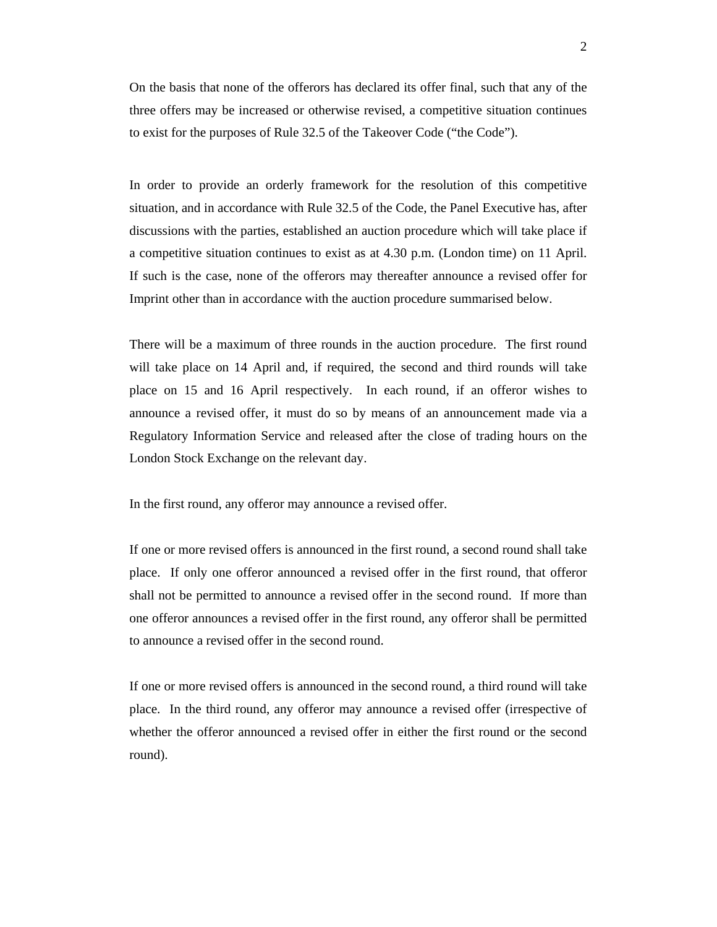On the basis that none of the offerors has declared its offer final, such that any of the three offers may be increased or otherwise revised, a competitive situation continues to exist for the purposes of Rule 32.5 of the Takeover Code ("the Code").

In order to provide an orderly framework for the resolution of this competitive situation, and in accordance with Rule 32.5 of the Code, the Panel Executive has, after discussions with the parties, established an auction procedure which will take place if a competitive situation continues to exist as at 4.30 p.m. (London time) on 11 April. If such is the case, none of the offerors may thereafter announce a revised offer for Imprint other than in accordance with the auction procedure summarised below.

There will be a maximum of three rounds in the auction procedure. The first round will take place on 14 April and, if required, the second and third rounds will take place on 15 and 16 April respectively. In each round, if an offeror wishes to announce a revised offer, it must do so by means of an announcement made via a Regulatory Information Service and released after the close of trading hours on the London Stock Exchange on the relevant day.

In the first round, any offeror may announce a revised offer.

If one or more revised offers is announced in the first round, a second round shall take place. If only one offeror announced a revised offer in the first round, that offeror shall not be permitted to announce a revised offer in the second round. If more than one offeror announces a revised offer in the first round, any offeror shall be permitted to announce a revised offer in the second round.

If one or more revised offers is announced in the second round, a third round will take place. In the third round, any offeror may announce a revised offer (irrespective of whether the offeror announced a revised offer in either the first round or the second round).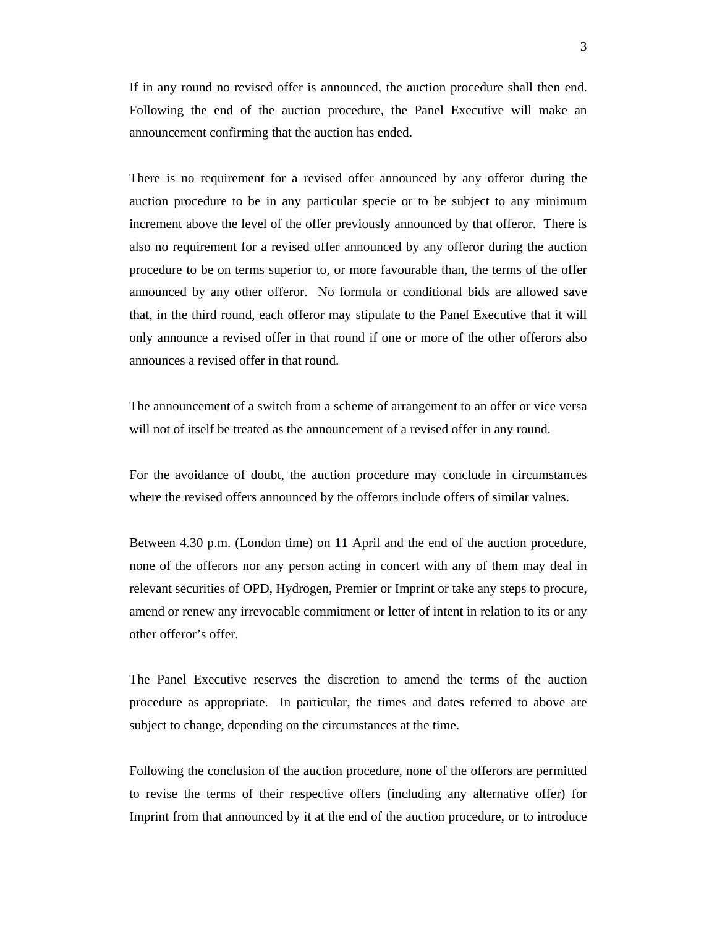If in any round no revised offer is announced, the auction procedure shall then end. Following the end of the auction procedure, the Panel Executive will make an announcement confirming that the auction has ended.

There is no requirement for a revised offer announced by any offeror during the auction procedure to be in any particular specie or to be subject to any minimum increment above the level of the offer previously announced by that offeror. There is also no requirement for a revised offer announced by any offeror during the auction procedure to be on terms superior to, or more favourable than, the terms of the offer announced by any other offeror. No formula or conditional bids are allowed save that, in the third round, each offeror may stipulate to the Panel Executive that it will only announce a revised offer in that round if one or more of the other offerors also announces a revised offer in that round.

The announcement of a switch from a scheme of arrangement to an offer or vice versa will not of itself be treated as the announcement of a revised offer in any round.

For the avoidance of doubt, the auction procedure may conclude in circumstances where the revised offers announced by the offerors include offers of similar values.

Between 4.30 p.m. (London time) on 11 April and the end of the auction procedure, none of the offerors nor any person acting in concert with any of them may deal in relevant securities of OPD, Hydrogen, Premier or Imprint or take any steps to procure, amend or renew any irrevocable commitment or letter of intent in relation to its or any other offeror's offer.

The Panel Executive reserves the discretion to amend the terms of the auction procedure as appropriate. In particular, the times and dates referred to above are subject to change, depending on the circumstances at the time.

Following the conclusion of the auction procedure, none of the offerors are permitted to revise the terms of their respective offers (including any alternative offer) for Imprint from that announced by it at the end of the auction procedure, or to introduce